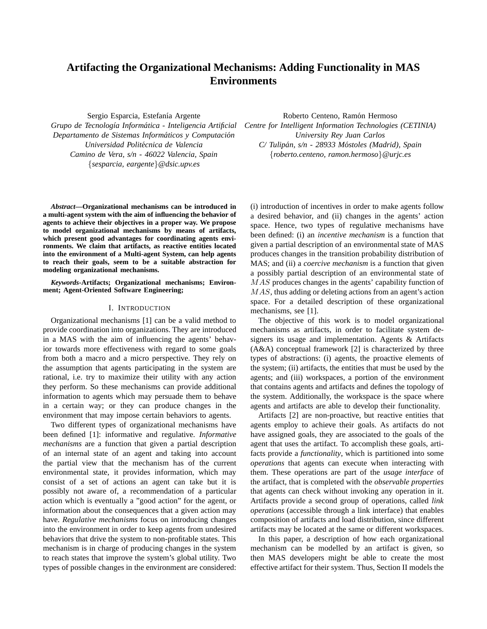# **Artifacting the Organizational Mechanisms: Adding Functionality in MAS Environments**

Sergio Esparcia, Estefanía Argente

*Grupo de Tecnolog´ıa Informatica - Inteligencia Artificial ´ Departamento de Sistemas Informaticos y Computaci ´ on´ Universidad Politecnica de Valencia ´ Camino de Vera, s/n - 46022 Valencia, Spain* {*sesparcia, eargente*}*@dsic.upv.es*

*Abstract***—Organizational mechanisms can be introduced in a multi-agent system with the aim of influencing the behavior of agents to achieve their objectives in a proper way. We propose to model organizational mechanisms by means of artifacts, which present good advantages for coordinating agents environments. We claim that artifacts, as reactive entities located into the environment of a Multi-agent System, can help agents to reach their goals, seem to be a suitable abstraction for modeling organizational mechanisms.**

*Keywords***-Artifacts; Organizational mechanisms; Environment; Agent-Oriented Software Engineering;**

#### I. INTRODUCTION

Organizational mechanisms [1] can be a valid method to provide coordination into organizations. They are introduced in a MAS with the aim of influencing the agents' behavior towards more effectiveness with regard to some goals from both a macro and a micro perspective. They rely on the assumption that agents participating in the system are rational, i.e. try to maximize their utility with any action they perform. So these mechanisms can provide additional information to agents which may persuade them to behave in a certain way; or they can produce changes in the environment that may impose certain behaviors to agents.

Two different types of organizational mechanisms have been defined [1]: informative and regulative. *Informative mechanisms* are a function that given a partial description of an internal state of an agent and taking into account the partial view that the mechanism has of the current environmental state, it provides information, which may consist of a set of actions an agent can take but it is possibly not aware of, a recommendation of a particular action which is eventually a "good action" for the agent, or information about the consequences that a given action may have. *Regulative mechanisms* focus on introducing changes into the environment in order to keep agents from undesired behaviors that drive the system to non-profitable states. This mechanism is in charge of producing changes in the system to reach states that improve the system's global utility. Two types of possible changes in the environment are considered:

Roberto Centeno, Ramón Hermoso *Centre for Intelligent Information Technologies (CETINIA) University Rey Juan Carlos C/ Tulipan, s/n - 28933 M ´ ostoles (Madrid), Spain ´* {*roberto.centeno, ramon.hermoso*}*@urjc.es*

(i) introduction of incentives in order to make agents follow a desired behavior, and (ii) changes in the agents' action space. Hence, two types of regulative mechanisms have been defined: (i) an *incentive mechanism* is a function that given a partial description of an environmental state of MAS produces changes in the transition probability distribution of MAS; and (ii) a *coercive mechanism* is a function that given a possibly partial description of an environmental state of MAS produces changes in the agents' capability function of MAS, thus adding or deleting actions from an agent's action space. For a detailed description of these organizational mechanisms, see [1].

The objective of this work is to model organizational mechanisms as artifacts, in order to facilitate system designers its usage and implementation. Agents & Artifacts (A&A) conceptual framework [2] is characterized by three types of abstractions: (i) agents, the proactive elements of the system; (ii) artifacts, the entities that must be used by the agents; and (iii) workspaces, a portion of the environment that contains agents and artifacts and defines the topology of the system. Additionally, the workspace is the space where agents and artifacts are able to develop their functionality.

Artifacts [2] are non-proactive, but reactive entities that agents employ to achieve their goals. As artifacts do not have assigned goals, they are associated to the goals of the agent that uses the artifact. To accomplish these goals, artifacts provide a *functionality*, which is partitioned into some *operations* that agents can execute when interacting with them. These operations are part of the *usage interface* of the artifact, that is completed with the *observable properties* that agents can check without invoking any operation in it. Artifacts provide a second group of operations, called *link operations* (accessible through a link interface) that enables composition of artifacts and load distribution, since different artifacts may be located at the same or different workspaces.

In this paper, a description of how each organizational mechanism can be modelled by an artifact is given, so then MAS developers might be able to create the most effective artifact for their system. Thus, Section II models the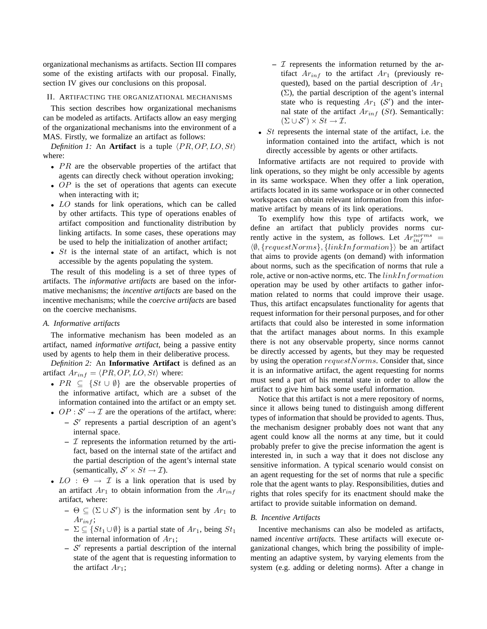organizational mechanisms as artifacts. Section III compares some of the existing artifacts with our proposal. Finally, section IV gives our conclusions on this proposal.

## II. ARTIFACTING THE ORGANIZATIONAL MECHANISMS

This section describes how organizational mechanisms can be modeled as artifacts. Artifacts allow an easy merging of the organizational mechanisms into the environment of a MAS. Firstly, we formalize an artifact as follows:

*Definition 1:* An **Artifact** is a tuple  $\langle PR, OP, LO, St \rangle$ where:

- $PR$  are the observable properties of the artifact that agents can directly check without operation invoking;
- OP is the set of operations that agents can execute when interacting with it;
- LO stands for link operations, which can be called by other artifacts. This type of operations enables of artifact composition and functionality distribution by linking artifacts. In some cases, these operations may be used to help the initialization of another artifact;
- $St$  is the internal state of an artifact, which is not accessible by the agents populating the system.

The result of this modeling is a set of three types of artifacts. The *informative artifacts* are based on the informative mechanisms; the *incentive artifacts* are based on the incentive mechanisms; while the *coercive artifacts* are based on the coercive mechanisms.

## *A. Informative artifacts*

The informative mechanism has been modeled as an artifact, named *informative artifact*, being a passive entity used by agents to help them in their deliberative process.

*Definition 2:* An **Informative Artifact** is defined as an artifact  $Ar_{inf} = \langle PR, OP, LO, St \rangle$  where:

- $PR \subseteq \{St \cup \emptyset\}$  are the observable properties of the informative artifact, which are a subset of the information contained into the artifact or an empty set.
- OP :  $S' \rightarrow I$  are the operations of the artifact, where:
	- **–** S ′ represents a partial description of an agent's internal space.
	- $\mathcal I$  represents the information returned by the artifact, based on the internal state of the artifact and the partial description of the agent's internal state (semantically,  $S' \times St \rightarrow \mathcal{I}$ ).
- $LO: \Theta \rightarrow \mathcal{I}$  is a link operation that is used by an artifact  $Ar_1$  to obtain information from the  $Ar_{inf}$ artifact, where:
	- $-$  Θ ⊆ (Σ ∪ S') is the information sent by  $Ar_1$  to  $Ar_{inf}$ ;
	- $-$  ∑ ⊆ {St<sub>1</sub> ∪ Ø} is a partial state of Ar<sub>1</sub>, being St<sub>1</sub> the internal information of  $Ar_1$ ;
	- $S'$  represents a partial description of the internal state of the agent that is requesting information to the artifact  $Ar_1$ ;
- $\overline{\mathcal{I}}$  represents the information returned by the artifact  $Ar_{inf}$  to the artifact  $Ar_1$  (previously requested), based on the partial description of  $Ar<sub>1</sub>$  $(\Sigma)$ , the partial description of the agent's internal state who is requesting  $Ar_1$  (S') and the internal state of the artifact  $Ar_{inf}$  (St). Semantically:  $(\Sigma \cup \mathcal{S}') \times St \to \mathcal{I}.$
- St represents the internal state of the artifact, i.e. the information contained into the artifact, which is not directly accessible by agents or other artifacts.

Informative artifacts are not required to provide with link operations, so they might be only accessible by agents in its same workspace. When they offer a link operation, artifacts located in its same workspace or in other connected workspaces can obtain relevant information from this informative artifact by means of its link operations.

To exemplify how this type of artifacts work, we define an artifact that publicly provides norms currently active in the system, as follows. Let  $Ar_{inf}^{norms}$  =  $\langle \emptyset, \{requestNorms\}, \{linkInformation\} \rangle$  be an artifact that aims to provide agents (on demand) with information about norms, such as the specification of norms that rule a role, active or non-active norms, etc. The linkInformation operation may be used by other artifacts to gather information related to norms that could improve their usage. Thus, this artifact encapsulates functionality for agents that request information for their personal purposes, and for other artifacts that could also be interested in some information that the artifact manages about norms. In this example there is not any observable property, since norms cannot be directly accessed by agents, but they may be requested by using the operation requestNorms. Consider that, since it is an informative artifact, the agent requesting for norms must send a part of his mental state in order to allow the artifact to give him back some useful information.

Notice that this artifact is not a mere repository of norms, since it allows being tuned to distinguish among different types of information that should be provided to agents. Thus, the mechanism designer probably does not want that any agent could know all the norms at any time, but it could probably prefer to give the precise information the agent is interested in, in such a way that it does not disclose any sensitive information. A typical scenario would consist on an agent requesting for the set of norms that rule a specific role that the agent wants to play. Responsibilities, duties and rights that roles specify for its enactment should make the artifact to provide suitable information on demand.

### *B. Incentive Artifacts*

Incentive mechanisms can also be modeled as artifacts, named *incentive artifacts*. These artifacts will execute organizational changes, which bring the possibility of implementing an adaptive system, by varying elements from the system (e.g. adding or deleting norms). After a change in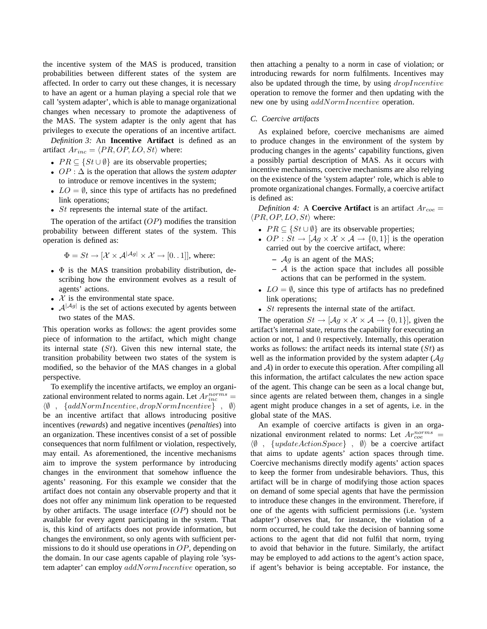the incentive system of the MAS is produced, transition probabilities between different states of the system are affected. In order to carry out these changes, it is necessary to have an agent or a human playing a special role that we call 'system adapter', which is able to manage organizational changes when necessary to promote the adaptiveness of the MAS. The system adapter is the only agent that has privileges to execute the operations of an incentive artifact.

*Definition 3:* An **Incentive Artifact** is defined as an artifact  $Ar_{inc} = \langle PR, OP, LO, St \rangle$  where:

- $PR \subseteq \{St \cup \emptyset\}$  are its observable properties;
- OP : ∆ is the operation that allows the *system adapter* to introduce or remove incentives in the system;
- $LO = \emptyset$ , since this type of artifacts has no predefined link operations;
- $St$  represents the internal state of the artifact.

The operation of the artifact  $OP$ ) modifies the transition probability between different states of the system. This operation is defined as:

$$
\Phi = St \rightarrow [\mathcal{X} \times \mathcal{A}^{|\mathcal{A}g|} \times \mathcal{X} \rightarrow [0..1]],
$$
 where:

- $\bullet$   $\Phi$  is the MAS transition probability distribution, describing how the environment evolves as a result of agents' actions.
- $X$  is the environmental state space.
- $\bullet$   $\mathcal{A}^{|\mathcal{A}g|}$  is the set of actions executed by agents between two states of the MAS.

This operation works as follows: the agent provides some piece of information to the artifact, which might change its internal state  $(St)$ . Given this new internal state, the transition probability between two states of the system is modified, so the behavior of the MAS changes in a global perspective.

To exemplify the incentive artifacts, we employ an organizational environment related to norms again. Let  $Ar_{inc}^{norms}$  =  $\langle \emptyset \rangle$ , {addNormIncentive, dropNormIncentive},  $\emptyset$ } be an incentive artifact that allows introducing positive incentives (*rewards*) and negative incentives (*penalties*) into an organization. These incentives consist of a set of possible consequences that norm fulfilment or violation, respectively, may entail. As aforementioned, the incentive mechanisms aim to improve the system performance by introducing changes in the environment that somehow influence the agents' reasoning. For this example we consider that the artifact does not contain any observable property and that it does not offer any minimum link operation to be requested by other artifacts. The usage interface  $OP$ ) should not be available for every agent participating in the system. That is, this kind of artifacts does not provide information, but changes the environment, so only agents with sufficient permissions to do it should use operations in  $OP$ , depending on the domain. In our case agents capable of playing role 'system adapter' can employ  $addNormIncentive$  operation, so then attaching a penalty to a norm in case of violation; or introducing rewards for norm fulfilments. Incentives may also be updated through the time, by using  $droplncentive$ operation to remove the former and then updating with the new one by using addNormIncentive operation.

#### *C. Coercive artifacts*

As explained before, coercive mechanisms are aimed to produce changes in the environment of the system by producing changes in the agents' capability functions, given a possibly partial description of MAS. As it occurs with incentive mechanisms, coercive mechanisms are also relying on the existence of the 'system adapter' role, which is able to promote organizational changes. Formally, a coercive artifact is defined as:

*Definition 4:* A **Coercive Artifact** is an artifact  $Ar_{coe}$  =  $\langle PR, OP, LO, St \rangle$  where:

- $PR \subseteq \{St \cup \emptyset\}$  are its observable properties;
- OP :  $St \to [Ag \times X \times A \to \{0,1\}]$  is the operation carried out by the coercive artifact, where:
	- **–** Ag is an agent of the MAS;
	- **–** A is the action space that includes all possible actions that can be performed in the system.
- $LO = \emptyset$ , since this type of artifacts has no predefined link operations;
- *St* represents the internal state of the artifact.

The operation  $St \to [\mathcal{A}q \times \mathcal{X} \times \mathcal{A}] \to \{0, 1\}$ , given the artifact's internal state, returns the capability for executing an action or not, 1 and 0 respectively. Internally, this operation works as follows: the artifact needs its internal state  $(St)$  as well as the information provided by the system adapter  $(\mathcal{A}q)$ and  $A$ ) in order to execute this operation. After compiling all this information, the artifact calculates the new action space of the agent. This change can be seen as a local change but, since agents are related between them, changes in a single agent might produce changes in a set of agents, i.e. in the global state of the MAS.

An example of coercive artifacts is given in an organizational environment related to norms: Let  $Ar_{ce}^{norms}$  =  $\langle \emptyset \rangle$ ,  $\{updateActionSpace\}$ ,  $\emptyset$  be a coercive artifact that aims to update agents' action spaces through time. Coercive mechanisms directly modify agents' action spaces to keep the former from undesirable behaviors. Thus, this artifact will be in charge of modifying those action spaces on demand of some special agents that have the permission to introduce these changes in the environment. Therefore, if one of the agents with sufficient permissions (i.e. 'system adapter') observes that, for instance, the violation of a norm occurred, he could take the decision of banning some actions to the agent that did not fulfil that norm, trying to avoid that behavior in the future. Similarly, the artifact may be employed to add actions to the agent's action space, if agent's behavior is being acceptable. For instance, the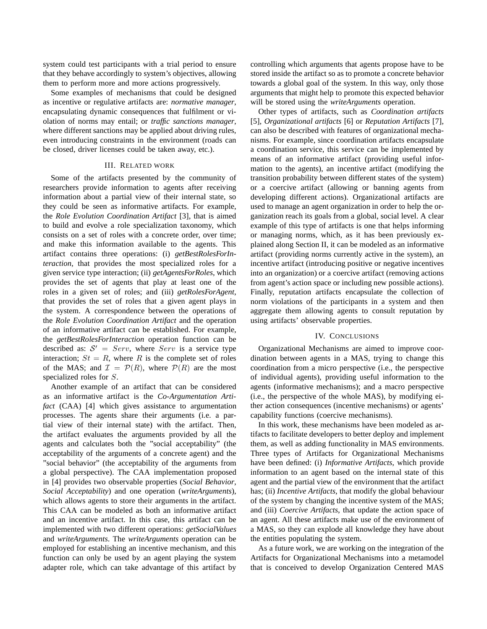system could test participants with a trial period to ensure that they behave accordingly to system's objectives, allowing them to perform more and more actions progressively.

Some examples of mechanisms that could be designed as incentive or regulative artifacts are: *normative manager*, encapsulating dynamic consequences that fulfilment or violation of norms may entail; or *traffic sanctions manager*, where different sanctions may be applied about driving rules, even introducing constraints in the environment (roads can be closed, driver licenses could be taken away, etc.).

### III. RELATED WORK

Some of the artifacts presented by the community of researchers provide information to agents after receiving information about a partial view of their internal state, so they could be seen as informative artifacts. For example, the *Role Evolution Coordination Artifact* [3], that is aimed to build and evolve a role specialization taxonomy, which consists on a set of roles with a concrete order, over time; and make this information available to the agents. This artifact contains three operations: (i) *getBestRolesForInteraction*, that provides the most specialized roles for a given service type interaction; (ii) *getAgentsForRoles*, which provides the set of agents that play at least one of the roles in a given set of roles; and (iii) *getRolesForAgent*, that provides the set of roles that a given agent plays in the system. A correspondence between the operations of the *Role Evolution Coordination Artifact* and the operation of an informative artifact can be established. For example, the *getBestRolesForInteraction* operation function can be described as:  $S' = Serv$ , where  $Serv$  is a service type interaction;  $St = R$ , where R is the complete set of roles of the MAS; and  $\mathcal{I} = \mathcal{P}(R)$ , where  $\mathcal{P}(R)$  are the most specialized roles for S.

Another example of an artifact that can be considered as an informative artifact is the *Co-Argumentation Artifact* (CAA) [4] which gives assistance to argumentation processes. The agents share their arguments (i.e. a partial view of their internal state) with the artifact. Then, the artifact evaluates the arguments provided by all the agents and calculates both the "social acceptability" (the acceptability of the arguments of a concrete agent) and the "social behavior" (the acceptability of the arguments from a global perspective). The CAA implementation proposed in [4] provides two observable properties (*Social Behavior*, *Social Acceptability*) and one operation (*writeArguments*), which allows agents to store their arguments in the artifact. This CAA can be modeled as both an informative artifact and an incentive artifact. In this case, this artifact can be implemented with two different operations: *getSocialValues* and *writeArguments*. The *writeArguments* operation can be employed for establishing an incentive mechanism, and this function can only be used by an agent playing the system adapter role, which can take advantage of this artifact by controlling which arguments that agents propose have to be stored inside the artifact so as to promote a concrete behavior towards a global goal of the system. In this way, only those arguments that might help to promote this expected behavior will be stored using the *writeArguments* operation.

Other types of artifacts, such as *Coordination artifacts* [5], *Organizational artifacts* [6] or *Reputation Artifacts* [7], can also be described with features of organizational mechanisms. For example, since coordination artifacts encapsulate a coordination service, this service can be implemented by means of an informative artifact (providing useful information to the agents), an incentive artifact (modifying the transition probability between different states of the system) or a coercive artifact (allowing or banning agents from developing different actions). Organizational artifacts are used to manage an agent organization in order to help the organization reach its goals from a global, social level. A clear example of this type of artifacts is one that helps informing or managing norms, which, as it has been previously explained along Section II, it can be modeled as an informative artifact (providing norms currently active in the system), an incentive artifact (introducing positive or negative incentives into an organization) or a coercive artifact (removing actions from agent's action space or including new possible actions). Finally, reputation artifacts encapsulate the collection of norm violations of the participants in a system and then aggregate them allowing agents to consult reputation by using artifacts' observable properties.

## IV. CONCLUSIONS

Organizational Mechanisms are aimed to improve coordination between agents in a MAS, trying to change this coordination from a micro perspective (i.e., the perspective of individual agents), providing useful information to the agents (informative mechanisms); and a macro perspective (i.e., the perspective of the whole MAS), by modifying either action consequences (incentive mechanisms) or agents' capability functions (coercive mechanisms).

In this work, these mechanisms have been modeled as artifacts to facilitate developers to better deploy and implement them, as well as adding functionality in MAS environments. Three types of Artifacts for Organizational Mechanisms have been defined: (i) *Informative Artifacts*, which provide information to an agent based on the internal state of this agent and the partial view of the environment that the artifact has; (ii) *Incentive Artifacts*, that modify the global behaviour of the system by changing the incentive system of the MAS; and (iii) *Coercive Artifacts*, that update the action space of an agent. All these artifacts make use of the environment of a MAS, so they can explode all knowledge they have about the entities populating the system.

As a future work, we are working on the integration of the Artifacts for Organizational Mechanisms into a metamodel that is conceived to develop Organization Centered MAS